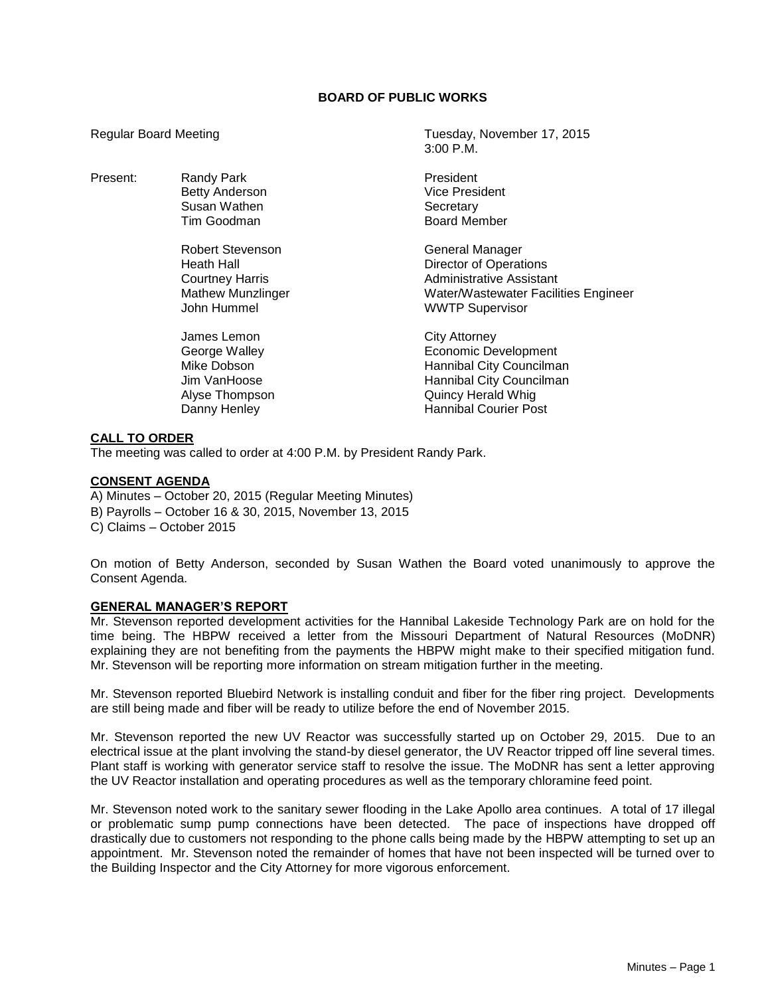## **BOARD OF PUBLIC WORKS**

3:00 P.M.

Regular Board Meeting Tuesday, November 17, 2015

| Present: | Randy Park<br><b>Betty Anderson</b><br>Susan Wathen<br>Tim Goodman                                  | President<br>Vice President<br>Secretary<br><b>Board Member</b>                                                                                            |
|----------|-----------------------------------------------------------------------------------------------------|------------------------------------------------------------------------------------------------------------------------------------------------------------|
|          | Robert Stevenson<br>Heath Hall<br><b>Courtney Harris</b><br><b>Mathew Munzlinger</b><br>John Hummel | General Manager<br><b>Director of Operations</b><br><b>Administrative Assistant</b><br>Water/Wastewater Facilities Engineer<br><b>WWTP Supervisor</b>      |
|          | James Lemon<br>George Walley<br>Mike Dobson<br>Jim VanHoose<br>Alyse Thompson<br>Danny Henley       | City Attorney<br>Economic Development<br>Hannibal City Councilman<br>Hannibal City Councilman<br><b>Quincy Herald Whig</b><br><b>Hannibal Courier Post</b> |

### **CALL TO ORDER**

The meeting was called to order at 4:00 P.M. by President Randy Park.

#### **CONSENT AGENDA**

A) Minutes – October 20, 2015 (Regular Meeting Minutes) B) Payrolls – October 16 & 30, 2015, November 13, 2015

C) Claims – October 2015

On motion of Betty Anderson, seconded by Susan Wathen the Board voted unanimously to approve the Consent Agenda.

## **GENERAL MANAGER'S REPORT**

Mr. Stevenson reported development activities for the Hannibal Lakeside Technology Park are on hold for the time being. The HBPW received a letter from the Missouri Department of Natural Resources (MoDNR) explaining they are not benefiting from the payments the HBPW might make to their specified mitigation fund. Mr. Stevenson will be reporting more information on stream mitigation further in the meeting.

Mr. Stevenson reported Bluebird Network is installing conduit and fiber for the fiber ring project. Developments are still being made and fiber will be ready to utilize before the end of November 2015.

Mr. Stevenson reported the new UV Reactor was successfully started up on October 29, 2015. Due to an electrical issue at the plant involving the stand-by diesel generator, the UV Reactor tripped off line several times. Plant staff is working with generator service staff to resolve the issue. The MoDNR has sent a letter approving the UV Reactor installation and operating procedures as well as the temporary chloramine feed point.

Mr. Stevenson noted work to the sanitary sewer flooding in the Lake Apollo area continues. A total of 17 illegal or problematic sump pump connections have been detected. The pace of inspections have dropped off drastically due to customers not responding to the phone calls being made by the HBPW attempting to set up an appointment. Mr. Stevenson noted the remainder of homes that have not been inspected will be turned over to the Building Inspector and the City Attorney for more vigorous enforcement.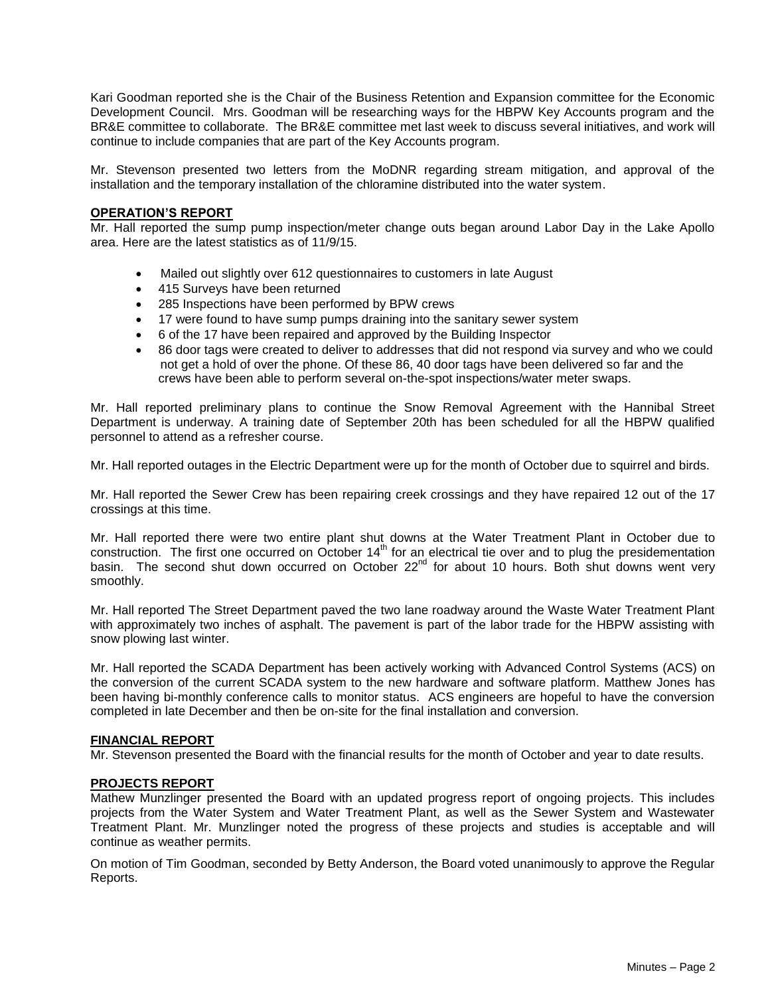Kari Goodman reported she is the Chair of the Business Retention and Expansion committee for the Economic Development Council. Mrs. Goodman will be researching ways for the HBPW Key Accounts program and the BR&E committee to collaborate. The BR&E committee met last week to discuss several initiatives, and work will continue to include companies that are part of the Key Accounts program.

Mr. Stevenson presented two letters from the MoDNR regarding stream mitigation, and approval of the installation and the temporary installation of the chloramine distributed into the water system.

#### **OPERATION'S REPORT**

Mr. Hall reported the sump pump inspection/meter change outs began around Labor Day in the Lake Apollo area. Here are the latest statistics as of 11/9/15.

- Mailed out slightly over 612 questionnaires to customers in late August
- 415 Surveys have been returned
- 285 Inspections have been performed by BPW crews
- 17 were found to have sump pumps draining into the sanitary sewer system
- 6 of the 17 have been repaired and approved by the Building Inspector
- 86 door tags were created to deliver to addresses that did not respond via survey and who we could not get a hold of over the phone. Of these 86, 40 door tags have been delivered so far and the crews have been able to perform several on-the-spot inspections/water meter swaps.

Mr. Hall reported preliminary plans to continue the Snow Removal Agreement with the Hannibal Street Department is underway. A training date of September 20th has been scheduled for all the HBPW qualified personnel to attend as a refresher course.

Mr. Hall reported outages in the Electric Department were up for the month of October due to squirrel and birds.

Mr. Hall reported the Sewer Crew has been repairing creek crossings and they have repaired 12 out of the 17 crossings at this time.

Mr. Hall reported there were two entire plant shut downs at the Water Treatment Plant in October due to construction. The first one occurred on October 14<sup>th</sup> for an electrical tie over and to plug the presidementation basin. The second shut down occurred on October 22<sup>nd</sup> for about 10 hours. Both shut downs went very smoothly.

Mr. Hall reported The Street Department paved the two lane roadway around the Waste Water Treatment Plant with approximately two inches of asphalt. The pavement is part of the labor trade for the HBPW assisting with snow plowing last winter.

Mr. Hall reported the SCADA Department has been actively working with Advanced Control Systems (ACS) on the conversion of the current SCADA system to the new hardware and software platform. Matthew Jones has been having bi-monthly conference calls to monitor status. ACS engineers are hopeful to have the conversion completed in late December and then be on-site for the final installation and conversion.

#### **FINANCIAL REPORT**

Mr. Stevenson presented the Board with the financial results for the month of October and year to date results.

#### **PROJECTS REPORT**

Mathew Munzlinger presented the Board with an updated progress report of ongoing projects. This includes projects from the Water System and Water Treatment Plant, as well as the Sewer System and Wastewater Treatment Plant. Mr. Munzlinger noted the progress of these projects and studies is acceptable and will continue as weather permits.

On motion of Tim Goodman, seconded by Betty Anderson, the Board voted unanimously to approve the Regular Reports.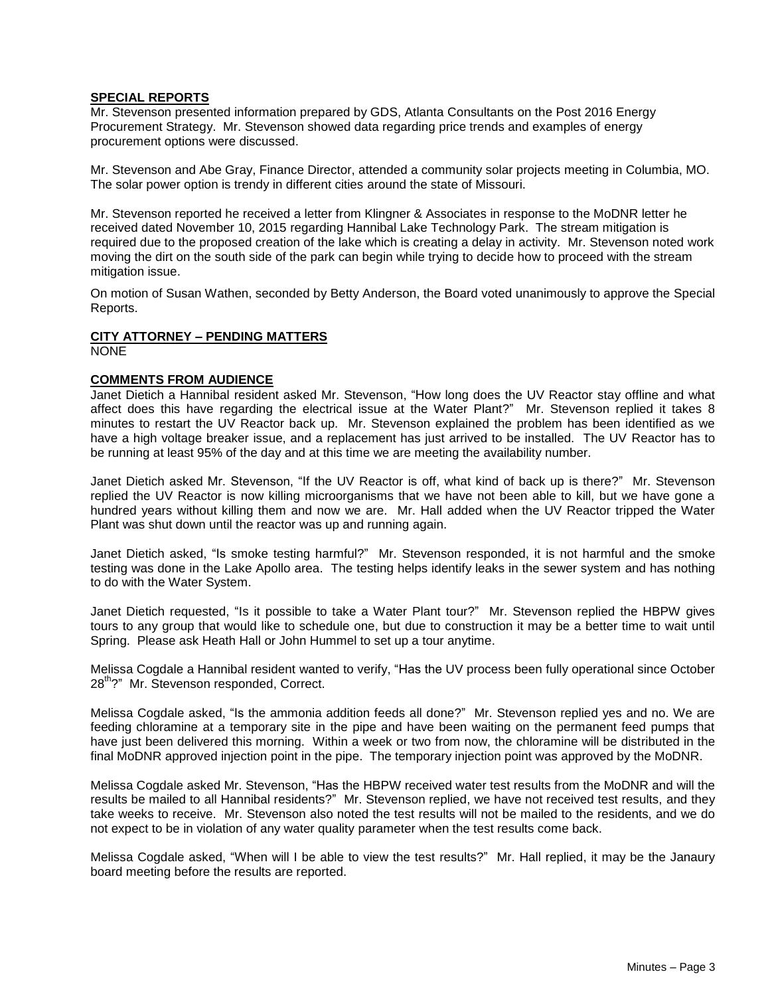## **SPECIAL REPORTS**

Mr. Stevenson presented information prepared by GDS, Atlanta Consultants on the Post 2016 Energy Procurement Strategy. Mr. Stevenson showed data regarding price trends and examples of energy procurement options were discussed.

Mr. Stevenson and Abe Gray, Finance Director, attended a community solar projects meeting in Columbia, MO. The solar power option is trendy in different cities around the state of Missouri.

Mr. Stevenson reported he received a letter from Klingner & Associates in response to the MoDNR letter he received dated November 10, 2015 regarding Hannibal Lake Technology Park. The stream mitigation is required due to the proposed creation of the lake which is creating a delay in activity. Mr. Stevenson noted work moving the dirt on the south side of the park can begin while trying to decide how to proceed with the stream mitigation issue.

On motion of Susan Wathen, seconded by Betty Anderson, the Board voted unanimously to approve the Special Reports.

## **CITY ATTORNEY – PENDING MATTERS**

NONE

## **COMMENTS FROM AUDIENCE**

Janet Dietich a Hannibal resident asked Mr. Stevenson, "How long does the UV Reactor stay offline and what affect does this have regarding the electrical issue at the Water Plant?" Mr. Stevenson replied it takes 8 minutes to restart the UV Reactor back up. Mr. Stevenson explained the problem has been identified as we have a high voltage breaker issue, and a replacement has just arrived to be installed. The UV Reactor has to be running at least 95% of the day and at this time we are meeting the availability number.

Janet Dietich asked Mr. Stevenson, "If the UV Reactor is off, what kind of back up is there?" Mr. Stevenson replied the UV Reactor is now killing microorganisms that we have not been able to kill, but we have gone a hundred years without killing them and now we are. Mr. Hall added when the UV Reactor tripped the Water Plant was shut down until the reactor was up and running again.

Janet Dietich asked, "Is smoke testing harmful?" Mr. Stevenson responded, it is not harmful and the smoke testing was done in the Lake Apollo area. The testing helps identify leaks in the sewer system and has nothing to do with the Water System.

Janet Dietich requested, "Is it possible to take a Water Plant tour?" Mr. Stevenson replied the HBPW gives tours to any group that would like to schedule one, but due to construction it may be a better time to wait until Spring. Please ask Heath Hall or John Hummel to set up a tour anytime.

Melissa Cogdale a Hannibal resident wanted to verify, "Has the UV process been fully operational since October 28<sup>th</sup>?" Mr. Stevenson responded, Correct.

Melissa Cogdale asked, "Is the ammonia addition feeds all done?" Mr. Stevenson replied yes and no. We are feeding chloramine at a temporary site in the pipe and have been waiting on the permanent feed pumps that have just been delivered this morning. Within a week or two from now, the chloramine will be distributed in the final MoDNR approved injection point in the pipe. The temporary injection point was approved by the MoDNR.

Melissa Cogdale asked Mr. Stevenson, "Has the HBPW received water test results from the MoDNR and will the results be mailed to all Hannibal residents?" Mr. Stevenson replied, we have not received test results, and they take weeks to receive. Mr. Stevenson also noted the test results will not be mailed to the residents, and we do not expect to be in violation of any water quality parameter when the test results come back.

Melissa Cogdale asked, "When will I be able to view the test results?" Mr. Hall replied, it may be the Janaury board meeting before the results are reported.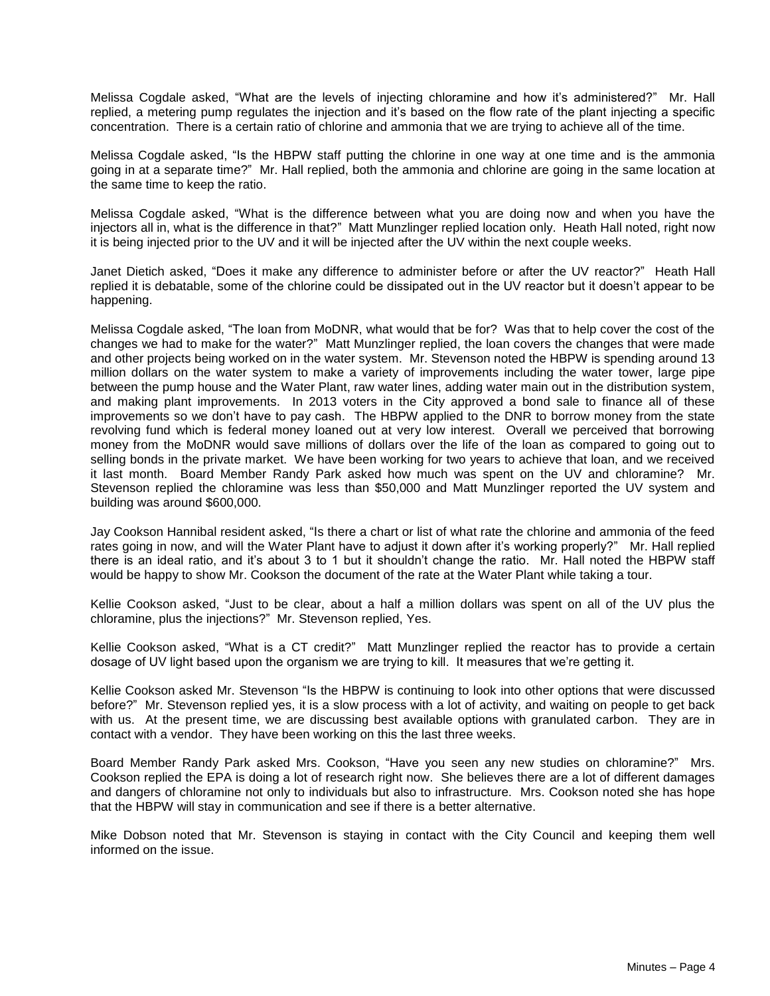Melissa Cogdale asked, "What are the levels of injecting chloramine and how it's administered?" Mr. Hall replied, a metering pump regulates the injection and it's based on the flow rate of the plant injecting a specific concentration. There is a certain ratio of chlorine and ammonia that we are trying to achieve all of the time.

Melissa Cogdale asked, "Is the HBPW staff putting the chlorine in one way at one time and is the ammonia going in at a separate time?" Mr. Hall replied, both the ammonia and chlorine are going in the same location at the same time to keep the ratio.

Melissa Cogdale asked, "What is the difference between what you are doing now and when you have the injectors all in, what is the difference in that?" Matt Munzlinger replied location only. Heath Hall noted, right now it is being injected prior to the UV and it will be injected after the UV within the next couple weeks.

Janet Dietich asked, "Does it make any difference to administer before or after the UV reactor?" Heath Hall replied it is debatable, some of the chlorine could be dissipated out in the UV reactor but it doesn't appear to be happening.

Melissa Cogdale asked, "The loan from MoDNR, what would that be for? Was that to help cover the cost of the changes we had to make for the water?" Matt Munzlinger replied, the loan covers the changes that were made and other projects being worked on in the water system. Mr. Stevenson noted the HBPW is spending around 13 million dollars on the water system to make a variety of improvements including the water tower, large pipe between the pump house and the Water Plant, raw water lines, adding water main out in the distribution system, and making plant improvements. In 2013 voters in the City approved a bond sale to finance all of these improvements so we don't have to pay cash. The HBPW applied to the DNR to borrow money from the state revolving fund which is federal money loaned out at very low interest. Overall we perceived that borrowing money from the MoDNR would save millions of dollars over the life of the loan as compared to going out to selling bonds in the private market. We have been working for two years to achieve that loan, and we received it last month. Board Member Randy Park asked how much was spent on the UV and chloramine? Mr. Stevenson replied the chloramine was less than \$50,000 and Matt Munzlinger reported the UV system and building was around \$600,000.

Jay Cookson Hannibal resident asked, "Is there a chart or list of what rate the chlorine and ammonia of the feed rates going in now, and will the Water Plant have to adjust it down after it's working properly?" Mr. Hall replied there is an ideal ratio, and it's about 3 to 1 but it shouldn't change the ratio. Mr. Hall noted the HBPW staff would be happy to show Mr. Cookson the document of the rate at the Water Plant while taking a tour.

Kellie Cookson asked, "Just to be clear, about a half a million dollars was spent on all of the UV plus the chloramine, plus the injections?" Mr. Stevenson replied, Yes.

Kellie Cookson asked, "What is a CT credit?" Matt Munzlinger replied the reactor has to provide a certain dosage of UV light based upon the organism we are trying to kill. It measures that we're getting it.

Kellie Cookson asked Mr. Stevenson "Is the HBPW is continuing to look into other options that were discussed before?" Mr. Stevenson replied yes, it is a slow process with a lot of activity, and waiting on people to get back with us. At the present time, we are discussing best available options with granulated carbon. They are in contact with a vendor. They have been working on this the last three weeks.

Board Member Randy Park asked Mrs. Cookson, "Have you seen any new studies on chloramine?" Mrs. Cookson replied the EPA is doing a lot of research right now. She believes there are a lot of different damages and dangers of chloramine not only to individuals but also to infrastructure. Mrs. Cookson noted she has hope that the HBPW will stay in communication and see if there is a better alternative.

Mike Dobson noted that Mr. Stevenson is staying in contact with the City Council and keeping them well informed on the issue.